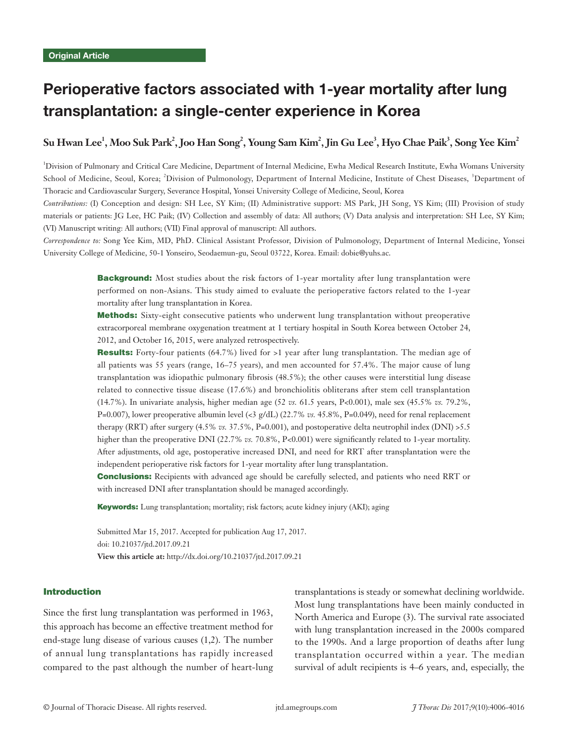# Perioperative factors associated with 1-year mortality after lung transplantation: a single-center experience in Korea

# ${\sf Su}$  **Hwan Lee<sup>1</sup>, Moo Suk Park** $^2$ **, Joo Han Song** $^2$ **, Young Sam Kim** $^2$ **, Jin Gu Lee** $^3$ **, Hyo Chae Paik** $^3$ **, Song Yee Kim** $^2$

<sup>1</sup>Division of Pulmonary and Critical Care Medicine, Department of Internal Medicine, Ewha Medical Research Institute, Ewha Womans University School of Medicine, Seoul, Korea; <sup>2</sup>Division of Pulmonology, Department of Internal Medicine, Institute of Chest Diseases, <sup>3</sup>Department of Thoracic and Cardiovascular Surgery, Severance Hospital, Yonsei University College of Medicine, Seoul, Korea

*Contributions:* (I) Conception and design: SH Lee, SY Kim; (II) Administrative support: MS Park, JH Song, YS Kim; (III) Provision of study materials or patients: JG Lee, HC Paik; (IV) Collection and assembly of data: All authors; (V) Data analysis and interpretation: SH Lee, SY Kim; (VI) Manuscript writing: All authors; (VII) Final approval of manuscript: All authors.

*Correspondence to:* Song Yee Kim, MD, PhD. Clinical Assistant Professor, Division of Pulmonology, Department of Internal Medicine, Yonsei University College of Medicine, 50-1 Yonseiro, Seodaemun-gu, Seoul 03722, Korea. Email: dobie@yuhs.ac.

> **Background:** Most studies about the risk factors of 1-year mortality after lung transplantation were performed on non-Asians. This study aimed to evaluate the perioperative factors related to the 1-year mortality after lung transplantation in Korea.

> Methods: Sixty-eight consecutive patients who underwent lung transplantation without preoperative extracorporeal membrane oxygenation treatment at 1 tertiary hospital in South Korea between October 24, 2012, and October 16, 2015, were analyzed retrospectively.

> Results: Forty-four patients (64.7%) lived for >1 year after lung transplantation. The median age of all patients was 55 years (range, 16–75 years), and men accounted for 57.4%. The major cause of lung transplantation was idiopathic pulmonary fibrosis (48.5%); the other causes were interstitial lung disease related to connective tissue disease (17.6%) and bronchiolitis obliterans after stem cell transplantation (14.7%). In univariate analysis, higher median age (52 *vs.* 61.5 years, P<0.001), male sex (45.5% *vs.* 79.2%, P=0.007), lower preoperative albumin level (<3 g/dL) (22.7% *vs.* 45.8%, P=0.049), need for renal replacement therapy (RRT) after surgery (4.5% *vs.* 37.5%, P=0.001), and postoperative delta neutrophil index (DNI) >5.5 higher than the preoperative DNI (22.7% *vs.* 70.8%, P<0.001) were significantly related to 1-year mortality. After adjustments, old age, postoperative increased DNI, and need for RRT after transplantation were the independent perioperative risk factors for 1-year mortality after lung transplantation.

> **Conclusions:** Recipients with advanced age should be carefully selected, and patients who need RRT or with increased DNI after transplantation should be managed accordingly.

Keywords: Lung transplantation; mortality; risk factors; acute kidney injury (AKI); aging

Submitted Mar 15, 2017. Accepted for publication Aug 17, 2017. doi: 10.21037/jtd.2017.09.21 **View this article at:** http://dx.doi.org/10.21037/jtd.2017.09.21

# Introduction

Since the first lung transplantation was performed in 1963, this approach has become an effective treatment method for end-stage lung disease of various causes (1,2). The number of annual lung transplantations has rapidly increased compared to the past although the number of heart-lung

transplantations is steady or somewhat declining worldwide. Most lung transplantations have been mainly conducted in North America and Europe (3). The survival rate associated with lung transplantation increased in the 2000s compared to the 1990s. And a large proportion of deaths after lung transplantation occurred within a year. The median survival of adult recipients is 4–6 years, and, especially, the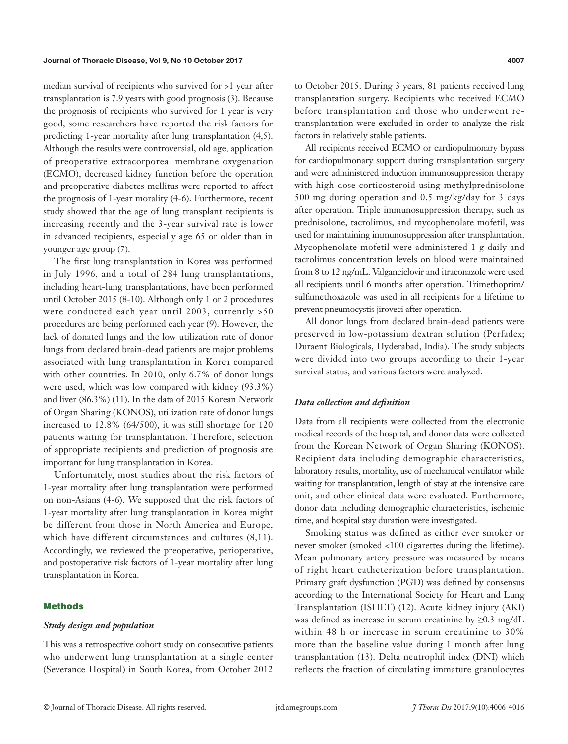median survival of recipients who survived for >1 year after transplantation is 7.9 years with good prognosis (3). Because the prognosis of recipients who survived for 1 year is very good, some researchers have reported the risk factors for predicting 1-year mortality after lung transplantation (4,5). Although the results were controversial, old age, application of preoperative extracorporeal membrane oxygenation (ECMO), decreased kidney function before the operation and preoperative diabetes mellitus were reported to affect the prognosis of 1-year morality (4-6). Furthermore, recent study showed that the age of lung transplant recipients is increasing recently and the 3-year survival rate is lower in advanced recipients, especially age 65 or older than in younger age group (7).

The first lung transplantation in Korea was performed in July 1996, and a total of 284 lung transplantations, including heart-lung transplantations, have been performed until October 2015 (8-10). Although only 1 or 2 procedures were conducted each year until 2003, currently >50 procedures are being performed each year (9). However, the lack of donated lungs and the low utilization rate of donor lungs from declared brain-dead patients are major problems associated with lung transplantation in Korea compared with other countries. In 2010, only 6.7% of donor lungs were used, which was low compared with kidney (93.3%) and liver (86.3%) (11). In the data of 2015 Korean Network of Organ Sharing (KONOS), utilization rate of donor lungs increased to 12.8% (64/500), it was still shortage for 120 patients waiting for transplantation. Therefore, selection of appropriate recipients and prediction of prognosis are important for lung transplantation in Korea.

Unfortunately, most studies about the risk factors of 1-year mortality after lung transplantation were performed on non-Asians (4-6). We supposed that the risk factors of 1-year mortality after lung transplantation in Korea might be different from those in North America and Europe, which have different circumstances and cultures (8,11). Accordingly, we reviewed the preoperative, perioperative, and postoperative risk factors of 1-year mortality after lung transplantation in Korea.

## **Methods**

#### *Study design and population*

This was a retrospective cohort study on consecutive patients who underwent lung transplantation at a single center (Severance Hospital) in South Korea, from October 2012

to October 2015. During 3 years, 81 patients received lung transplantation surgery. Recipients who received ECMO before transplantation and those who underwent retransplantation were excluded in order to analyze the risk factors in relatively stable patients.

All recipients received ECMO or cardiopulmonary bypass for cardiopulmonary support during transplantation surgery and were administered induction immunosuppression therapy with high dose corticosteroid using methylprednisolone 500 mg during operation and 0.5 mg/kg/day for 3 days after operation. Triple immunosuppression therapy, such as prednisolone, tacrolimus, and mycophenolate mofetil, was used for maintaining immunosuppression after transplantation. Mycophenolate mofetil were administered 1 g daily and tacrolimus concentration levels on blood were maintained from 8 to 12 ng/mL. Valganciclovir and itraconazole were used all recipients until 6 months after operation. Trimethoprim/ sulfamethoxazole was used in all recipients for a lifetime to prevent pneumocystis jiroveci after operation.

All donor lungs from declared brain-dead patients were preserved in low-potassium dextran solution (Perfadex; Duraent Biologicals, Hyderabad, India). The study subjects were divided into two groups according to their 1-year survival status, and various factors were analyzed.

### *Data collection and definition*

Data from all recipients were collected from the electronic medical records of the hospital, and donor data were collected from the Korean Network of Organ Sharing (KONOS). Recipient data including demographic characteristics, laboratory results, mortality, use of mechanical ventilator while waiting for transplantation, length of stay at the intensive care unit, and other clinical data were evaluated. Furthermore, donor data including demographic characteristics, ischemic time, and hospital stay duration were investigated.

Smoking status was defined as either ever smoker or never smoker (smoked <100 cigarettes during the lifetime). Mean pulmonary artery pressure was measured by means of right heart catheterization before transplantation. Primary graft dysfunction (PGD) was defined by consensus according to the International Society for Heart and Lung Transplantation (ISHLT) (12). Acute kidney injury (AKI) was defined as increase in serum creatinine by  $\geq 0.3$  mg/dL within 48 h or increase in serum creatinine to 30% more than the baseline value during 1 month after lung transplantation (13). Delta neutrophil index (DNI) which reflects the fraction of circulating immature granulocytes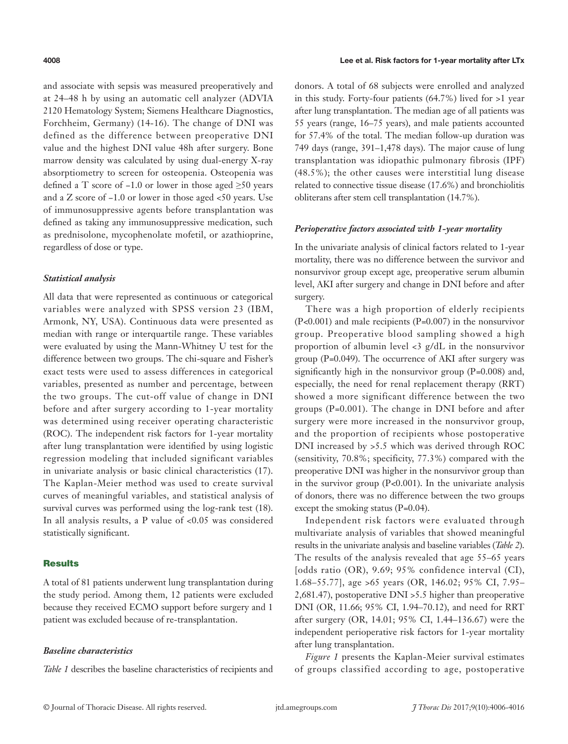and associate with sepsis was measured preoperatively and at 24–48 h by using an automatic cell analyzer (ADVIA 2120 Hematology System; Siemens Healthcare Diagnostics, Forchheim, Germany) (14-16). The change of DNI was defined as the difference between preoperative DNI value and the highest DNI value 48h after surgery. Bone marrow density was calculated by using dual-energy X-ray absorptiometry to screen for osteopenia. Osteopenia was defined a T score of −1.0 or lower in those aged ≥50 years and a Z score of −1.0 or lower in those aged <50 years. Use of immunosuppressive agents before transplantation was defined as taking any immunosuppressive medication, such as prednisolone, mycophenolate mofetil, or azathioprine, regardless of dose or type.

### *Statistical analysis*

All data that were represented as continuous or categorical variables were analyzed with SPSS version 23 (IBM, Armonk, NY, USA). Continuous data were presented as median with range or interquartile range. These variables were evaluated by using the Mann-Whitney U test for the difference between two groups. The chi-square and Fisher's exact tests were used to assess differences in categorical variables, presented as number and percentage, between the two groups. The cut-off value of change in DNI before and after surgery according to 1-year mortality was determined using receiver operating characteristic (ROC). The independent risk factors for 1-year mortality after lung transplantation were identified by using logistic regression modeling that included significant variables in univariate analysis or basic clinical characteristics (17). The Kaplan-Meier method was used to create survival curves of meaningful variables, and statistical analysis of survival curves was performed using the log-rank test (18). In all analysis results, a P value of <0.05 was considered statistically significant.

### **Results**

A total of 81 patients underwent lung transplantation during the study period. Among them, 12 patients were excluded because they received ECMO support before surgery and 1 patient was excluded because of re-transplantation.

#### *Baseline characteristics*

*Table 1* describes the baseline characteristics of recipients and

donors. A total of 68 subjects were enrolled and analyzed in this study. Forty-four patients (64.7%) lived for >1 year after lung transplantation. The median age of all patients was 55 years (range, 16–75 years), and male patients accounted for 57.4% of the total. The median follow-up duration was 749 days (range, 391–1,478 days). The major cause of lung transplantation was idiopathic pulmonary fibrosis (IPF) (48.5%); the other causes were interstitial lung disease related to connective tissue disease (17.6%) and bronchiolitis obliterans after stem cell transplantation (14.7%).

#### *Perioperative factors associated with 1-year mortality*

In the univariate analysis of clinical factors related to 1-year mortality, there was no difference between the survivor and nonsurvivor group except age, preoperative serum albumin level, AKI after surgery and change in DNI before and after surgery.

There was a high proportion of elderly recipients (P*<*0.001) and male recipients (P*=*0.007) in the nonsurvivor group. Preoperative blood sampling showed a high proportion of albumin level <3 g/dL in the nonsurvivor group (P*=*0.049). The occurrence of AKI after surgery was significantly high in the nonsurvivor group (P*=*0.008) and, especially, the need for renal replacement therapy (RRT) showed a more significant difference between the two groups (P*=*0.001). The change in DNI before and after surgery were more increased in the nonsurvivor group, and the proportion of recipients whose postoperative DNI increased by >5.5 which was derived through ROC (sensitivity, 70.8%; specificity, 77.3%) compared with the preoperative DNI was higher in the nonsurvivor group than in the survivor group (P*<*0.001). In the univariate analysis of donors, there was no difference between the two groups except the smoking status (P*=*0.04).

Independent risk factors were evaluated through multivariate analysis of variables that showed meaningful results in the univariate analysis and baseline variables (*Table 2*). The results of the analysis revealed that age 55–65 years [odds ratio (OR), 9.69; 95% confidence interval (CI), 1.68–55.77], age >65 years (OR, 146.02; 95% CI, 7.95– 2,681.47), postoperative DNI >5.5 higher than preoperative DNI (OR, 11.66; 95% CI, 1.94–70.12), and need for RRT after surgery (OR, 14.01; 95% CI, 1.44–136.67) were the independent perioperative risk factors for 1-year mortality after lung transplantation.

*Figure 1* presents the Kaplan-Meier survival estimates of groups classified according to age, postoperative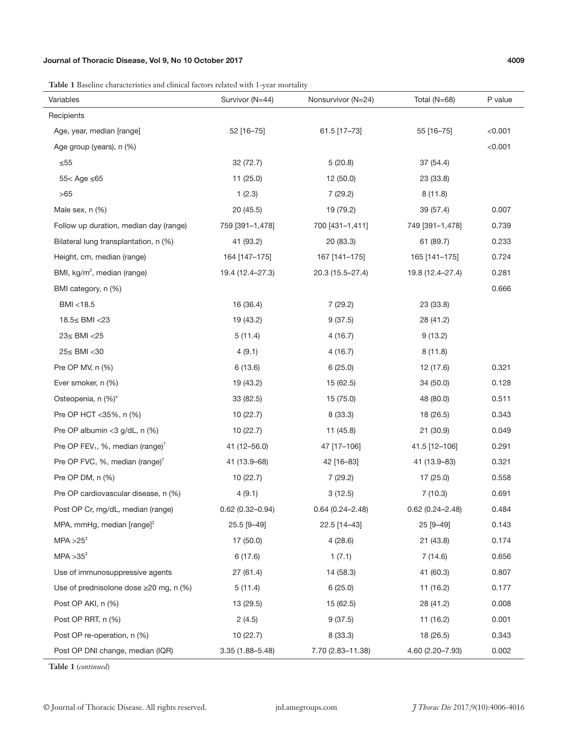# Journal of Thoracic Disease, Vol 9, No 10 October 2017 4009

**Table 1** Baseline characteristics and clinical factors related with 1-year mortality

| Variables                                                | Survivor (N=44)     | Nonsurvivor (N=24)  | Total (N=68)        | P value |
|----------------------------------------------------------|---------------------|---------------------|---------------------|---------|
| Recipients                                               |                     |                     |                     |         |
| Age, year, median [range]                                | 52 [16-75]          | 61.5 [17-73]        | 55 [16-75]          | < 0.001 |
| Age group (years), n (%)                                 |                     |                     |                     | < 0.001 |
| $\leq 55$                                                | 32 (72.7)           | 5(20.8)             | 37 (54.4)           |         |
| 55< Age ≤65                                              | 11(25.0)            | 12(50.0)            | 23 (33.8)           |         |
| >65                                                      | 1(2.3)              | 7(29.2)             | 8(11.8)             |         |
| Male sex, n (%)                                          | 20(45.5)            | 19 (79.2)           | 39 (57.4)           | 0.007   |
| Follow up duration, median day (range)                   | 759 [391-1,478]     | 700 [431-1,411]     | 749 [391-1,478]     | 0.739   |
| Bilateral lung transplantation, n (%)                    | 41 (93.2)           | 20 (83.3)           | 61 (89.7)           | 0.233   |
| Height, cm, median (range)                               | 164 [147-175]       | 167 [141-175]       | 165 [141-175]       | 0.724   |
| BMI, kg/m <sup>2</sup> , median (range)                  | 19.4 (12.4–27.3)    | 20.3 (15.5–27.4)    | 19.8 (12.4-27.4)    | 0.281   |
| BMI category, n (%)                                      |                     |                     |                     | 0.666   |
| BMI <18.5                                                | 16 (36.4)           | 7(29.2)             | 23 (33.8)           |         |
| 18.5≤ BMI <23                                            | 19 (43.2)           | 9(37.5)             | 28 (41.2)           |         |
| 23≤ BMI <25                                              | 5(11.4)             | 4(16.7)             | 9(13.2)             |         |
| 25≤ BMI <30                                              | 4(9.1)              | 4(16.7)             | 8(11.8)             |         |
| Pre OP MV, n (%)                                         | 6(13.6)             | 6(25.0)             | 12 (17.6)           | 0.321   |
| Ever smoker, n (%)                                       | 19 (43.2)           | 15 (62.5)           | 34 (50.0)           | 0.128   |
| Osteopenia, n (%)*                                       | 33(82.5)            | 15 (75.0)           | 48 (80.0)           | 0.511   |
| Pre OP HCT <35%, n (%)                                   | 10(22.7)            | 8(33.3)             | 18 (26.5)           | 0.343   |
| Pre OP albumin <3 $g/dL$ , n $(\%)$                      | 10(22.7)            | 11(45.8)            | 21 (30.9)           | 0.049   |
| Pre OP FEV <sub>1</sub> , %, median (range) <sup>†</sup> | 41 (12-56.0)        | 47 [17-106]         | 41.5 [12-106]       | 0.291   |
| Pre OP FVC, %, median (range) <sup>†</sup>               | 41 (13.9-68)        | 42 [16-83]          | 41 (13.9-83)        | 0.321   |
| Pre OP DM, n (%)                                         | 10(22.7)            | 7(29.2)             | 17 (25.0)           | 0.558   |
| Pre OP cardiovascular disease, n (%)                     | 4(9.1)              | 3(12.5)             | 7(10.3)             | 0.691   |
| Post OP Cr, mg/dL, median (range)                        | $0.62(0.32 - 0.94)$ | $0.64(0.24 - 2.48)$ | $0.62(0.24 - 2.48)$ | 0.484   |
| MPA, mmHg, median [range] <sup>+</sup>                   | 25.5 [9-49]         | 22.5 [14-43]        | 25 [9-49]           | 0.143   |
| $MPA > 25$ <sup>#</sup>                                  | 17 (50.0)           | 4(28.6)             | 21 (43.8)           | 0.174   |
| $MPA > 35^+$                                             | 6(17.6)             | 1(7.1)              | 7(14.6)             | 0.656   |
| Use of immunosuppressive agents                          | 27(61.4)            | 14 (58.3)           | 41 (60.3)           | 0.807   |
| Use of prednisolone dose ≥20 mg, n (%)                   | 5(11.4)             | 6(25.0)             | 11 (16.2)           | 0.177   |
| Post OP AKI, n (%)                                       | 13 (29.5)           | 15 (62.5)           | 28 (41.2)           | 0.008   |
| Post OP RRT, n (%)                                       | 2(4.5)              | 9(37.5)             | 11 (16.2)           | 0.001   |
| Post OP re-operation, n (%)                              | 10(22.7)            | 8 (33.3)            | 18 (26.5)           | 0.343   |
| Post OP DNI change, median (IQR)                         | 3.35 (1.88-5.48)    | 7.70 (2.83-11.38)   | 4.60 (2.20-7.93)    | 0.002   |

**Table 1** (*continued*)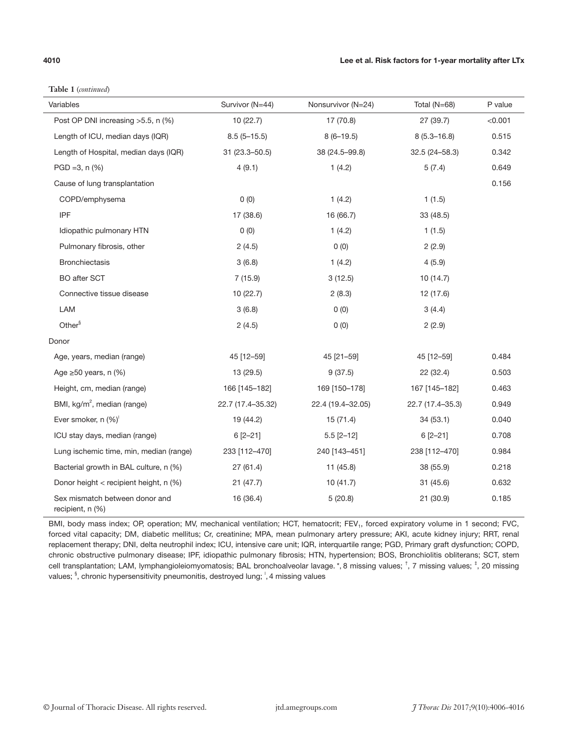**Table 1** (*continued*)

| Variables                                          | Survivor (N=44)   | Nonsurvivor (N=24) | Total $(N=68)$    | P value |
|----------------------------------------------------|-------------------|--------------------|-------------------|---------|
| Post OP DNI increasing >5.5, n (%)                 | 10(22.7)          | 17 (70.8)          | 27(39.7)          | < 0.001 |
| Length of ICU, median days (IQR)                   | $8.5(5 - 15.5)$   | $8(6-19.5)$        | $8(5.3 - 16.8)$   | 0.515   |
| Length of Hospital, median days (IQR)              | 31 (23.3-50.5)    | 38 (24.5-99.8)     | $32.5(24 - 58.3)$ | 0.342   |
| $PGD = 3, n (%)$                                   | 4(9.1)            | 1(4.2)             | 5(7.4)            | 0.649   |
| Cause of lung transplantation                      |                   |                    |                   | 0.156   |
| COPD/emphysema                                     | 0(0)              | 1(4.2)             | 1(1.5)            |         |
| IPF                                                | 17 (38.6)         | 16 (66.7)          | 33 (48.5)         |         |
| Idiopathic pulmonary HTN                           | 0(0)              | 1(4.2)             | 1(1.5)            |         |
| Pulmonary fibrosis, other                          | 2(4.5)            | 0(0)               | 2(2.9)            |         |
| <b>Bronchiectasis</b>                              | 3(6.8)            | 1(4.2)             | 4(5.9)            |         |
| BO after SCT                                       | 7(15.9)           | 3(12.5)            | 10(14.7)          |         |
| Connective tissue disease                          | 10(22.7)          | 2(8.3)             | 12 (17.6)         |         |
| LAM                                                | 3(6.8)            | 0(0)               | 3(4.4)            |         |
| Other <sup>§</sup>                                 | 2(4.5)            | 0(0)               | 2(2.9)            |         |
| Donor                                              |                   |                    |                   |         |
| Age, years, median (range)                         | 45 [12-59]        | 45 [21-59]         | 45 [12-59]        | 0.484   |
| Age $\geq 50$ years, n (%)                         | 13 (29.5)         | 9(37.5)            | 22 (32.4)         | 0.503   |
| Height, cm, median (range)                         | 166 [145-182]     | 169 [150-178]      | 167 [145-182]     | 0.463   |
| BMI, kg/m <sup>2</sup> , median (range)            | 22.7 (17.4-35.32) | 22.4 (19.4-32.05)  | 22.7 (17.4-35.3)  | 0.949   |
| Ever smoker, n (%)                                 | 19 (44.2)         | 15(71.4)           | 34(53.1)          | 0.040   |
| ICU stay days, median (range)                      | $6[2 - 21]$       | $5.5$ [2-12]       | $6[2 - 21]$       | 0.708   |
| Lung ischemic time, min, median (range)            | 233 [112-470]     | 240 [143-451]      | 238 [112-470]     | 0.984   |
| Bacterial growth in BAL culture, n (%)             | 27 (61.4)         | 11(45.8)           | 38 (55.9)         | 0.218   |
| Donor height < recipient height, n (%)             | 21(47.7)          | 10(41.7)           | 31(45.6)          | 0.632   |
| Sex mismatch between donor and<br>recipient, n (%) | 16 (36.4)         | 5(20.8)            | 21 (30.9)         | 0.185   |

BMI, body mass index; OP, operation; MV, mechanical ventilation; HCT, hematocrit; FEV<sub>1</sub>, forced expiratory volume in 1 second; FVC, forced vital capacity; DM, diabetic mellitus; Cr, creatinine; MPA, mean pulmonary artery pressure; AKI, acute kidney injury; RRT, renal replacement therapy; DNI, delta neutrophil index; ICU, intensive care unit; IQR, interquartile range; PGD, Primary graft dysfunction; COPD, chronic obstructive pulmonary disease; IPF, idiopathic pulmonary fibrosis; HTN, hypertension; BOS, Bronchiolitis obliterans; SCT, stem cell transplantation; LAM, lymphangioleiomyomatosis; BAL bronchoalveolar lavage. \*, 8 missing values; <sup>+</sup>, 7 missing values; <sup>+</sup>, 20 missing values; <sup>§</sup>, chronic hypersensitivity pneumonitis, destroyed lung; <sup>1</sup>, 4 missing values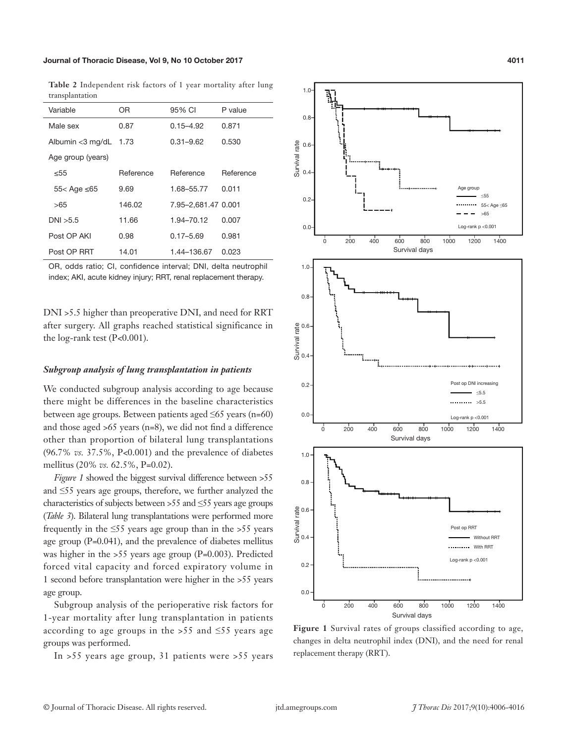**Table 2** Independent risk factors of 1 year mortality after lung transplantation

| Variable             | OR.       | 95% CI              | P value   |
|----------------------|-----------|---------------------|-----------|
| Male sex             | 0.87      | $0.15 - 4.92$       | 0.871     |
| Albumin $<$ 3 mg/dL  | 1.73      | $0.31 - 9.62$       | 0.530     |
| Age group (years)    |           |                     |           |
| < 55                 | Reference | Reference           | Reference |
| $55 <$ Age $\leq 65$ | 9.69      | 1.68-55.77          | 0.011     |
| >65                  | 146.02    | 7.95-2,681.47 0.001 |           |
| DNI > 5.5            | 11.66     | 1.94-70.12          | 0.007     |
| Post OP AKI          | 0.98      | $0.17 - 5.69$       | 0.981     |
| Post OP RRT          | 14.01     | 1.44-136.67         | 0.023     |

OR, odds ratio; CI, confidence interval; DNI, delta neutrophil index; AKI, acute kidney injury; RRT, renal replacement therapy.

DNI >5.5 higher than preoperative DNI, and need for RRT after surgery. All graphs reached statistical significance in the log-rank test (P*<*0.001).

#### *Subgroup analysis of lung transplantation in patients*

We conducted subgroup analysis according to age because there might be differences in the baseline characteristics between age groups. Between patients aged  $\leq 65$  years (n=60) and those aged >65 years (n=8), we did not find a difference other than proportion of bilateral lung transplantations (96.7% *vs.* 37.5%, P*<*0.001) and the prevalence of diabetes mellitus (20% *vs.* 62.5%, P=0.02).

*Figure 1* showed the biggest survival difference between >55 and ≤55 years age groups, therefore, we further analyzed the characteristics of subjects between >  $55$  and  $\leq 55$  years age groups (*Table 3*). Bilateral lung transplantations were performed more frequently in the  $\leq 55$  years age group than in the >55 years age group (P*=*0.041), and the prevalence of diabetes mellitus was higher in the >55 years age group (P*=*0.003). Predicted forced vital capacity and forced expiratory volume in 1 second before transplantation were higher in the >55 years age group.

Subgroup analysis of the perioperative risk factors for 1-year mortality after lung transplantation in patients according to age groups in the >55 and  $\leq$ 55 years age groups was performed.

In >55 years age group, 31 patients were >55 years



**Figure 1** Survival rates of groups classified according to age, changes in delta neutrophil index (DNI), and the need for renal replacement therapy (RRT).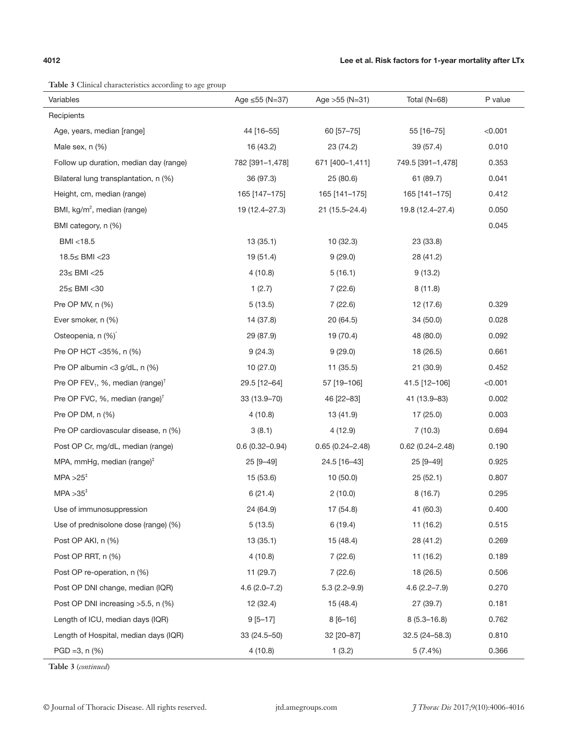$\overline{a}$ 

**Table 3** Clinical characteristics according to age group

| s chinear enaracteristics according to age group         |                    |                     |                     |         |
|----------------------------------------------------------|--------------------|---------------------|---------------------|---------|
| Variables                                                | Age ≤55 (N=37)     | Age $>55$ (N=31)    | Total (N=68)        | P value |
| Recipients                                               |                    |                     |                     |         |
| Age, years, median [range]                               | 44 [16-55]         | 60 [57-75]          | 55 [16-75]          | < 0.001 |
| Male sex, n (%)                                          | 16 (43.2)          | 23 (74.2)           | 39 (57.4)           | 0.010   |
| Follow up duration, median day (range)                   | 782 [391-1,478]    | 671 [400-1,411]     | 749.5 [391-1,478]   | 0.353   |
| Bilateral lung transplantation, n (%)                    | 36 (97.3)          | 25(80.6)            | 61 (89.7)           | 0.041   |
| Height, cm, median (range)                               | 165 [147-175]      | 165 [141-175]       | 165 [141-175]       | 0.412   |
| BMI, kg/m <sup>2</sup> , median (range)                  | 19 (12.4-27.3)     | 21 (15.5-24.4)      | 19.8 (12.4–27.4)    | 0.050   |
| BMI category, n (%)                                      |                    |                     |                     | 0.045   |
| BMI <18.5                                                | 13(35.1)           | 10(32.3)            | 23 (33.8)           |         |
| 18.5≤ BMI <23                                            | 19 (51.4)          | 9(29.0)             | 28 (41.2)           |         |
| 23≤ BMI <25                                              | 4(10.8)            | 5(16.1)             | 9(13.2)             |         |
| 25≤ BMI <30                                              | 1(2.7)             | 7(22.6)             | 8(11.8)             |         |
| Pre OP MV, n (%)                                         | 5(13.5)            | 7(22.6)             | 12 (17.6)           | 0.329   |
| Ever smoker, n (%)                                       | 14 (37.8)          | 20 (64.5)           | 34 (50.0)           | 0.028   |
| Osteopenia, n (%)                                        | 29 (87.9)          | 19 (70.4)           | 48 (80.0)           | 0.092   |
| Pre OP HCT <35%, n (%)                                   | 9(24.3)            | 9(29.0)             | 18 (26.5)           | 0.661   |
| Pre OP albumin <3 $g/dL$ , n $(\%)$                      | 10(27.0)           | 11(35.5)            | 21(30.9)            | 0.452   |
| Pre OP FEV <sub>1</sub> , %, median (range) <sup>†</sup> | 29.5 [12-64]       | 57 [19-106]         | 41.5 [12-106]       | < 0.001 |
| Pre OP FVC, %, median (range) <sup>†</sup>               | 33 (13.9-70)       | 46 [22-83]          | 41 (13.9-83)        | 0.002   |
| Pre OP DM, n (%)                                         | 4(10.8)            | 13 (41.9)           | 17 (25.0)           | 0.003   |
| Pre OP cardiovascular disease, n (%)                     | 3(8.1)             | 4(12.9)             | 7(10.3)             | 0.694   |
| Post OP Cr, mg/dL, median (range)                        | $0.6(0.32 - 0.94)$ | $0.65(0.24 - 2.48)$ | $0.62(0.24 - 2.48)$ | 0.190   |
| MPA, mmHg, median (range) $†$                            | 25 [9-49]          | 24.5 [16-43]        | 25 [9-49]           | 0.925   |
| $MPA > 25$ <sup>#</sup>                                  | 15 (53.6)          | 10(50.0)            | 25(52.1)            | 0.807   |
| $MPA > 35^+$                                             | 6(21.4)            | 2(10.0)             | 8(16.7)             | 0.295   |
| Use of immunosuppression                                 | 24 (64.9)          | 17 (54.8)           | 41 (60.3)           | 0.400   |
| Use of prednisolone dose (range) (%)                     | 5(13.5)            | 6(19.4)             | 11 (16.2)           | 0.515   |
| Post OP AKI, n (%)                                       | 13(35.1)           | 15 (48.4)           | 28 (41.2)           | 0.269   |
| Post OP RRT, n (%)                                       | 4(10.8)            | 7(22.6)             | 11(16.2)            | 0.189   |
| Post OP re-operation, n (%)                              | 11 (29.7)          | 7(22.6)             | 18 (26.5)           | 0.506   |
| Post OP DNI change, median (IQR)                         | $4.6(2.0 - 7.2)$   | $5.3(2.2 - 9.9)$    | $4.6(2.2 - 7.9)$    | 0.270   |
| Post OP DNI increasing >5.5, n (%)                       | 12 (32.4)          | 15 (48.4)           | 27 (39.7)           | 0.181   |
| Length of ICU, median days (IQR)                         | $9[5 - 17]$        | $8[6 - 16]$         | $8(5.3 - 16.8)$     | 0.762   |
| Length of Hospital, median days (IQR)                    | 33 (24.5-50)       | 32 [20-87]          | $32.5(24 - 58.3)$   | 0.810   |
| $PGD = 3, n (%)$                                         | 4(10.8)            | 1(3.2)              | 5(7.4%)             | 0.366   |

**Table 3** (*continued*)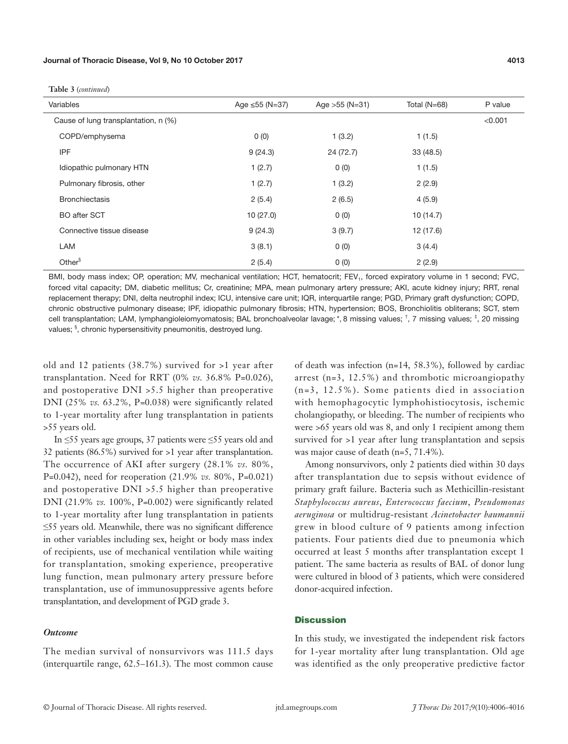| Variables                            | Age $\leq 55$ (N=37) | Age $>55$ (N=31) | Total $(N=68)$ | P value |
|--------------------------------------|----------------------|------------------|----------------|---------|
| Cause of lung transplantation, n (%) |                      |                  |                | < 0.001 |
| COPD/emphysema                       | 0(0)                 | 1(3.2)           | 1(1.5)         |         |
| <b>IPF</b>                           | 9(24.3)              | 24 (72.7)        | 33(48.5)       |         |
| Idiopathic pulmonary HTN             | 1(2.7)               | 0(0)             | 1(1.5)         |         |
| Pulmonary fibrosis, other            | 1(2.7)               | 1(3.2)           | 2(2.9)         |         |
| <b>Bronchiectasis</b>                | 2(5.4)               | 2(6.5)           | 4(5.9)         |         |
| <b>BO</b> after SCT                  | 10(27.0)             | 0(0)             | 10(14.7)       |         |
| Connective tissue disease            | 9(24.3)              | 3(9.7)           | 12 (17.6)      |         |
| LAM                                  | 3(8.1)               | 0(0)             | 3(4.4)         |         |
| Other <sup>§</sup>                   | 2(5.4)               | 0(0)             | 2(2.9)         |         |

**Table 3** (*continued*)

BMI, body mass index; OP, operation; MV, mechanical ventilation; HCT, hematocrit; FEV<sub>1</sub>, forced expiratory volume in 1 second; FVC, forced vital capacity; DM, diabetic mellitus; Cr, creatinine; MPA, mean pulmonary artery pressure; AKI, acute kidney injury; RRT, renal replacement therapy; DNI, delta neutrophil index; ICU, intensive care unit; IQR, interquartile range; PGD, Primary graft dysfunction; COPD, chronic obstructive pulmonary disease; IPF, idiopathic pulmonary fibrosis; HTN, hypertension; BOS, Bronchiolitis obliterans; SCT, stem cell transplantation; LAM, lymphangioleiomyomatosis; BAL bronchoalveolar lavage; \*, 8 missing values; <sup>+</sup>, 7 missing values; <sup>+</sup>, 20 missing values; <sup>§</sup>, chronic hypersensitivity pneumonitis, destroyed lung.

old and 12 patients (38.7%) survived for >1 year after transplantation. Need for RRT (0% *vs.* 36.8% P=0.026), and postoperative DNI >5.5 higher than preoperative DNI (25% *vs.* 63.2%, P*=*0.038) were significantly related to 1-year mortality after lung transplantation in patients >55 years old.

In ≤55 years age groups, 37 patients were ≤55 years old and 32 patients (86.5%) survived for >1 year after transplantation. The occurrence of AKI after surgery (28.1% *vs.* 80%, P=0.042), need for reoperation (21.9% *vs.* 80%, P*=*0.021) and postoperative DNI >5.5 higher than preoperative DNI (21.9% *vs.* 100%, P*=*0.002) were significantly related to 1-year mortality after lung transplantation in patients ≤55 years old. Meanwhile, there was no significant difference in other variables including sex, height or body mass index of recipients, use of mechanical ventilation while waiting for transplantation, smoking experience, preoperative lung function, mean pulmonary artery pressure before transplantation, use of immunosuppressive agents before transplantation, and development of PGD grade 3.

### *Outcome*

The median survival of nonsurvivors was 111.5 days (interquartile range, 62.5–161.3). The most common cause of death was infection (n=14, 58.3%), followed by cardiac arrest (n=3, 12.5%) and thrombotic microangiopathy (n=3, 12.5%). Some patients died in association with hemophagocytic lymphohistiocytosis, ischemic cholangiopathy, or bleeding. The number of recipients who were >65 years old was 8, and only 1 recipient among them survived for >1 year after lung transplantation and sepsis was major cause of death (n=5, 71.4%).

Among nonsurvivors, only 2 patients died within 30 days after transplantation due to sepsis without evidence of primary graft failure. Bacteria such as Methicillin-resistant *Staphylococcus aureus*, *Enterococcus faecium*, *Pseudomonas aeruginosa* or multidrug-resistant *Acinetobacter baumannii* grew in blood culture of 9 patients among infection patients. Four patients died due to pneumonia which occurred at least 5 months after transplantation except 1 patient. The same bacteria as results of BAL of donor lung were cultured in blood of 3 patients, which were considered donor-acquired infection.

### **Discussion**

In this study, we investigated the independent risk factors for 1-year mortality after lung transplantation. Old age was identified as the only preoperative predictive factor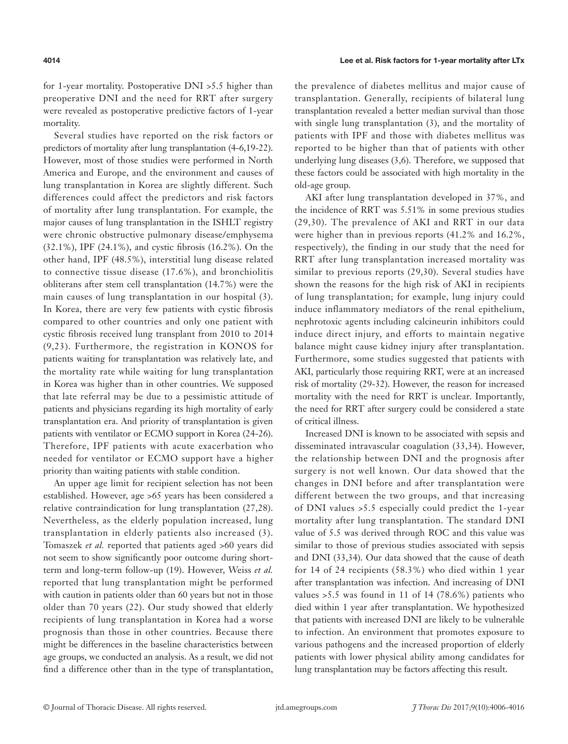for 1-year mortality. Postoperative DNI >5.5 higher than preoperative DNI and the need for RRT after surgery were revealed as postoperative predictive factors of 1-year mortality.

Several studies have reported on the risk factors or predictors of mortality after lung transplantation (4-6,19-22). However, most of those studies were performed in North America and Europe, and the environment and causes of lung transplantation in Korea are slightly different. Such differences could affect the predictors and risk factors of mortality after lung transplantation. For example, the major causes of lung transplantation in the ISHLT registry were chronic obstructive pulmonary disease/emphysema (32.1%), IPF (24.1%), and cystic fibrosis (16.2%). On the other hand, IPF (48.5%), interstitial lung disease related to connective tissue disease (17.6%), and bronchiolitis obliterans after stem cell transplantation (14.7%) were the main causes of lung transplantation in our hospital (3). In Korea, there are very few patients with cystic fibrosis compared to other countries and only one patient with cystic fibrosis received lung transplant from 2010 to 2014 (9,23). Furthermore, the registration in KONOS for patients waiting for transplantation was relatively late, and the mortality rate while waiting for lung transplantation in Korea was higher than in other countries. We supposed that late referral may be due to a pessimistic attitude of patients and physicians regarding its high mortality of early transplantation era. And priority of transplantation is given patients with ventilator or ECMO support in Korea (24-26). Therefore, IPF patients with acute exacerbation who needed for ventilator or ECMO support have a higher priority than waiting patients with stable condition.

An upper age limit for recipient selection has not been established. However, age >65 years has been considered a relative contraindication for lung transplantation (27,28). Nevertheless, as the elderly population increased, lung transplantation in elderly patients also increased (3). Tomaszek *et al.* reported that patients aged >60 years did not seem to show significantly poor outcome during shortterm and long-term follow-up (19). However, Weiss *et al.* reported that lung transplantation might be performed with caution in patients older than 60 years but not in those older than 70 years (22). Our study showed that elderly recipients of lung transplantation in Korea had a worse prognosis than those in other countries. Because there might be differences in the baseline characteristics between age groups, we conducted an analysis. As a result, we did not find a difference other than in the type of transplantation,

the prevalence of diabetes mellitus and major cause of transplantation. Generally, recipients of bilateral lung transplantation revealed a better median survival than those with single lung transplantation (3), and the mortality of patients with IPF and those with diabetes mellitus was reported to be higher than that of patients with other underlying lung diseases (3,6). Therefore, we supposed that these factors could be associated with high mortality in the old-age group.

AKI after lung transplantation developed in 37%, and the incidence of RRT was 5.51% in some previous studies (29,30). The prevalence of AKI and RRT in our data were higher than in previous reports (41.2% and 16.2%, respectively), the finding in our study that the need for RRT after lung transplantation increased mortality was similar to previous reports (29,30). Several studies have shown the reasons for the high risk of AKI in recipients of lung transplantation; for example, lung injury could induce inflammatory mediators of the renal epithelium, nephrotoxic agents including calcineurin inhibitors could induce direct injury, and efforts to maintain negative balance might cause kidney injury after transplantation. Furthermore, some studies suggested that patients with AKI, particularly those requiring RRT, were at an increased risk of mortality (29-32). However, the reason for increased mortality with the need for RRT is unclear. Importantly, the need for RRT after surgery could be considered a state of critical illness.

Increased DNI is known to be associated with sepsis and disseminated intravascular coagulation (33,34). However, the relationship between DNI and the prognosis after surgery is not well known. Our data showed that the changes in DNI before and after transplantation were different between the two groups, and that increasing of DNI values >5.5 especially could predict the 1-year mortality after lung transplantation. The standard DNI value of 5.5 was derived through ROC and this value was similar to those of previous studies associated with sepsis and DNI (33,34). Our data showed that the cause of death for 14 of 24 recipients (58.3%) who died within 1 year after transplantation was infection. And increasing of DNI values  $>5.5$  was found in 11 of 14 (78.6%) patients who died within 1 year after transplantation. We hypothesized that patients with increased DNI are likely to be vulnerable to infection. An environment that promotes exposure to various pathogens and the increased proportion of elderly patients with lower physical ability among candidates for lung transplantation may be factors affecting this result.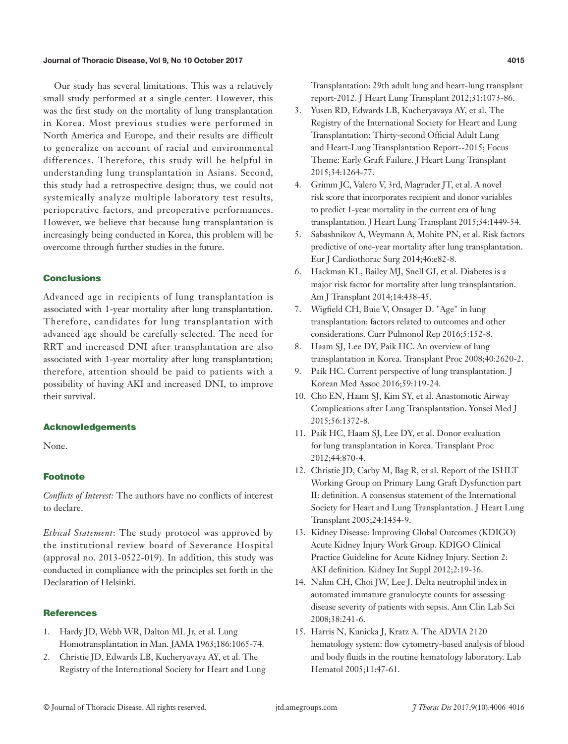#### Journal of Thoracic Disease, Vol 9, No 10 October 2017 4015

Our study has several limitations. This was a relatively small study performed at a single center. However, this was the first study on the mortality of lung transplantation in Korea. Most previous studies were performed in North America and Europe, and their results are difficult to generalize on account of racial and environmental differences. Therefore, this study will be helpful in understanding lung transplantation in Asians. Second, this study had a retrospective design; thus, we could not systemically analyze multiple laboratory test results, perioperative factors, and preoperative performances. However, we believe that because lung transplantation is increasingly being conducted in Korea, this problem will be overcome through further studies in the future.

### **Conclusions**

Advanced age in recipients of lung transplantation is associated with 1-year mortality after lung transplantation. Therefore, candidates for lung transplantation with advanced age should be carefully selected. The need for RRT and increased DNI after transplantation are also associated with 1-year mortality after lung transplantation; therefore, attention should be paid to patients with a possibility of having AKI and increased DNI, to improve their survival.

# Acknowledgements

None.

### Footnote

*Conflicts of Interest:* The authors have no conflicts of interest to declare.

*Ethical Statement*: The study protocol was approved by the institutional review board of Severance Hospital (approval no. 2013-0522-019). In addition, this study was conducted in compliance with the principles set forth in the Declaration of Helsinki.

### **References**

- 1. Hardy JD, Webb WR, Dalton ML Jr, et al. Lung Homotransplantation in Man. JAMA 1963;186:1065-74.
- 2. Christie JD, Edwards LB, Kucheryavaya AY, et al. The Registry of the International Society for Heart and Lung

Transplantation: 29th adult lung and heart-lung transplant report-2012. J Heart Lung Transplant 2012;31:1073-86.

- 3. Yusen RD, Edwards LB, Kucheryavaya AY, et al. The Registry of the International Society for Heart and Lung Transplantation: Thirty-second Official Adult Lung and Heart-Lung Transplantation Report--2015; Focus Theme: Early Graft Failure. J Heart Lung Transplant 2015;34:1264-77.
- 4. Grimm JC, Valero V, 3rd, Magruder JT, et al. A novel risk score that incorporates recipient and donor variables to predict 1-year mortality in the current era of lung transplantation. J Heart Lung Transplant 2015;34:1449-54.
- 5. Sabashnikov A, Weymann A, Mohite PN, et al. Risk factors predictive of one-year mortality after lung transplantation. Eur J Cardiothorac Surg 2014;46:e82-8.
- 6. Hackman KL, Bailey MJ, Snell GI, et al. Diabetes is a major risk factor for mortality after lung transplantation. Am J Transplant 2014;14:438-45.
- 7. Wigfield CH, Buie V, Onsager D. "Age" in lung transplantation: factors related to outcomes and other considerations. Curr Pulmonol Rep 2016;5:152-8.
- 8. Haam SJ, Lee DY, Paik HC. An overview of lung transplantation in Korea. Transplant Proc 2008;40:2620-2.
- 9. Paik HC. Current perspective of lung transplantation. J Korean Med Assoc 2016;59:119-24.
- 10. Cho EN, Haam SJ, Kim SY, et al. Anastomotic Airway Complications after Lung Transplantation. Yonsei Med J 2015;56:1372-8.
- 11. Paik HC, Haam SJ, Lee DY, et al. Donor evaluation for lung transplantation in Korea. Transplant Proc 2012;44:870-4.
- 12. Christie JD, Carby M, Bag R, et al. Report of the ISHLT Working Group on Primary Lung Graft Dysfunction part II: definition. A consensus statement of the International Society for Heart and Lung Transplantation. J Heart Lung Transplant 2005;24:1454-9.
- 13. Kidney Disease: Improving Global Outcomes (KDIGO) Acute Kidney Injury Work Group. KDIGO Clinical Practice Guideline for Acute Kidney Injury. Section 2: AKI definition. Kidney Int Suppl 2012;2:19-36.
- 14. Nahm CH, Choi JW, Lee J. Delta neutrophil index in automated immature granulocyte counts for assessing disease severity of patients with sepsis. Ann Clin Lab Sci 2008;38:241-6.
- 15. Harris N, Kunicka J, Kratz A. The ADVIA 2120 hematology system: flow cytometry-based analysis of blood and body fluids in the routine hematology laboratory. Lab Hematol 2005;11:47-61.